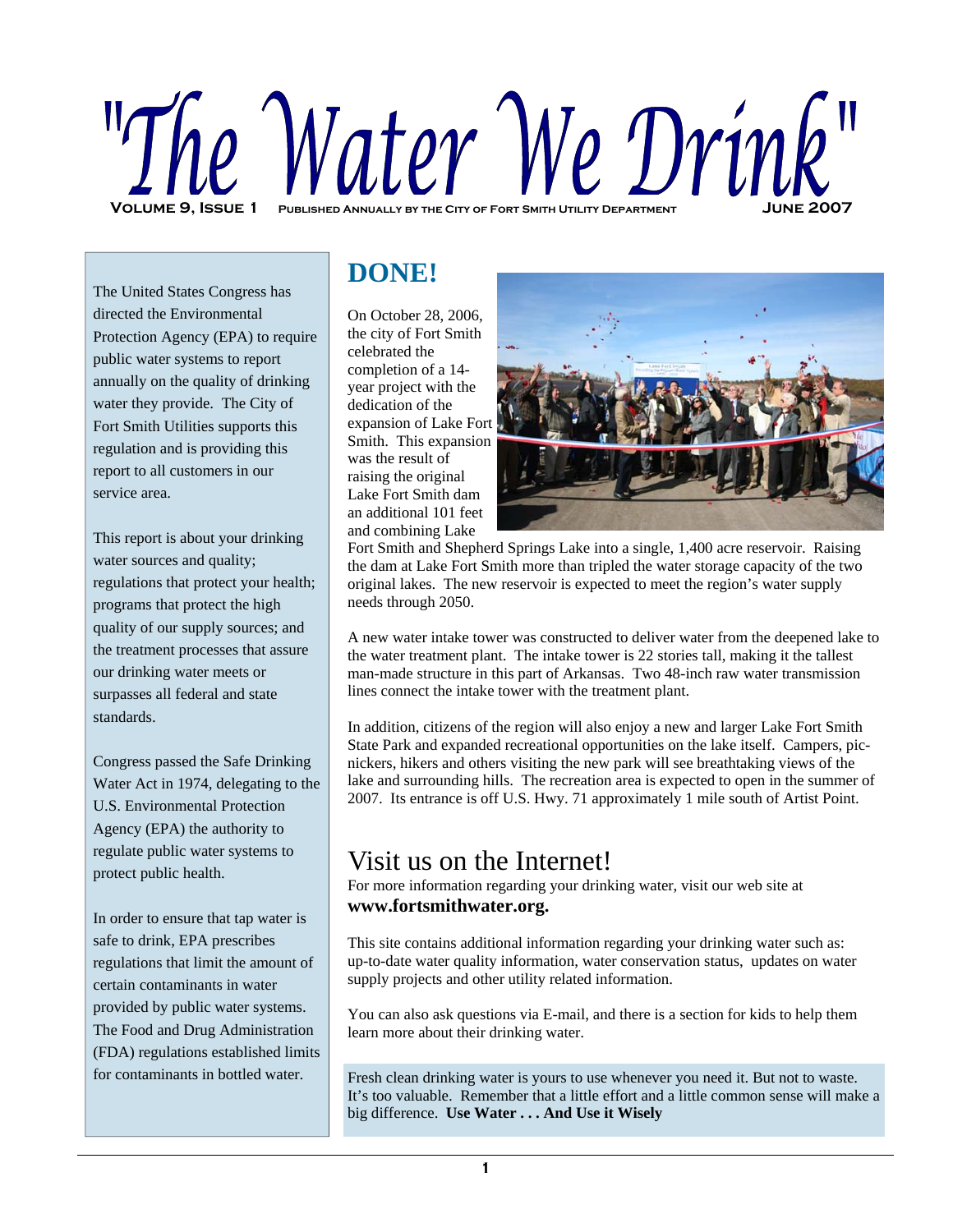# ie Water We Drink **VOLUME 9. ISSUE 1**

The United States Congress has directed the Environmental Protection Agency (EPA) to require public water systems to report annually on the quality of drinking water they provide. The City of Fort Smith Utilities supports this regulation and is providing this report to all customers in our service area.

This report is about your drinking water sources and quality; regulations that protect your health; programs that protect the high quality of our supply sources; and the treatment processes that assure our drinking water meets or surpasses all federal and state standards.

Congress passed the Safe Drinking Water Act in 1974, delegating to the U.S. Environmental Protection Agency (EPA) the authority to regulate public water systems to protect public health.

In order to ensure that tap water is safe to drink, EPA prescribes regulations that limit the amount of certain contaminants in water provided by public water systems. The Food and Drug Administration (FDA) regulations established limits for contaminants in bottled water.

## **DONE!**

On October 28, 2006, the city of Fort Smith celebrated the completion of a 14 year project with the dedication of the expansion of Lake Fort Smith. This expansion was the result of raising the original Lake Fort Smith dam an additional 101 feet and combining Lake



Fort Smith and Shepherd Springs Lake into a single, 1,400 acre reservoir. Raising the dam at Lake Fort Smith more than tripled the water storage capacity of the two original lakes. The new reservoir is expected to meet the region's water supply needs through 2050.

A new water intake tower was constructed to deliver water from the deepened lake to the water treatment plant. The intake tower is 22 stories tall, making it the tallest man-made structure in this part of Arkansas. Two 48-inch raw water transmission lines connect the intake tower with the treatment plant.

In addition, citizens of the region will also enjoy a new and larger Lake Fort Smith State Park and expanded recreational opportunities on the lake itself. Campers, picnickers, hikers and others visiting the new park will see breathtaking views of the lake and surrounding hills. The recreation area is expected to open in the summer of 2007. Its entrance is off U.S. Hwy. 71 approximately 1 mile south of Artist Point.

## Visit us on the Internet!

For more information regarding your drinking water, visit our web site at **www.fortsmithwater.org.**

This site contains additional information regarding your drinking water such as: up-to-date water quality information, water conservation status, updates on water supply projects and other utility related information.

You can also ask questions via E-mail, and there is a section for kids to help them learn more about their drinking water.

Fresh clean drinking water is yours to use whenever you need it. But not to waste. It's too valuable. Remember that a little effort and a little common sense will make a big difference. **Use Water . . . And Use it Wisely**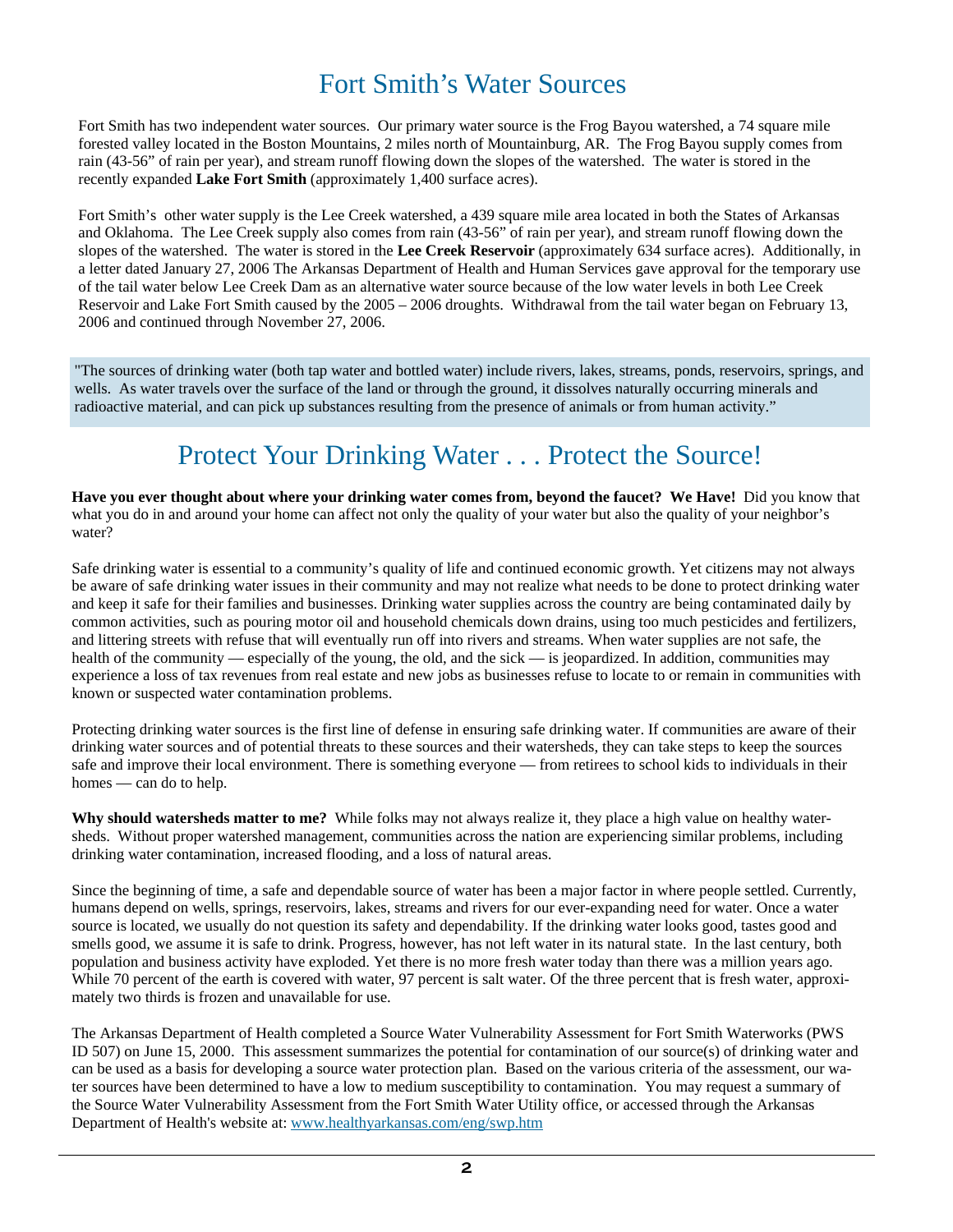## Fort Smith's Water Sources

Fort Smith has two independent water sources. Our primary water source is the Frog Bayou watershed, a 74 square mile forested valley located in the Boston Mountains, 2 miles north of Mountainburg, AR. The Frog Bayou supply comes from rain (43-56" of rain per year), and stream runoff flowing down the slopes of the watershed. The water is stored in the recently expanded **Lake Fort Smith** (approximately 1,400 surface acres).

Fort Smith's other water supply is the Lee Creek watershed, a 439 square mile area located in both the States of Arkansas and Oklahoma. The Lee Creek supply also comes from rain (43-56" of rain per year), and stream runoff flowing down the slopes of the watershed. The water is stored in the **Lee Creek Reservoir** (approximately 634 surface acres). Additionally, in a letter dated January 27, 2006 The Arkansas Department of Health and Human Services gave approval for the temporary use of the tail water below Lee Creek Dam as an alternative water source because of the low water levels in both Lee Creek Reservoir and Lake Fort Smith caused by the 2005 – 2006 droughts. Withdrawal from the tail water began on February 13, 2006 and continued through November 27, 2006.

"The sources of drinking water (both tap water and bottled water) include rivers, lakes, streams, ponds, reservoirs, springs, and wells. As water travels over the surface of the land or through the ground, it dissolves naturally occurring minerals and radioactive material, and can pick up substances resulting from the presence of animals or from human activity."

## Protect Your Drinking Water . . . Protect the Source!

**Have you ever thought about where your drinking water comes from, beyond the faucet? We Have!** Did you know that what you do in and around your home can affect not only the quality of your water but also the quality of your neighbor's water?

Safe drinking water is essential to a community's quality of life and continued economic growth. Yet citizens may not always be aware of safe drinking water issues in their community and may not realize what needs to be done to protect drinking water and keep it safe for their families and businesses. Drinking water supplies across the country are being contaminated daily by common activities, such as pouring motor oil and household chemicals down drains, using too much pesticides and fertilizers, and littering streets with refuse that will eventually run off into rivers and streams. When water supplies are not safe, the health of the community — especially of the young, the old, and the sick — is jeopardized. In addition, communities may experience a loss of tax revenues from real estate and new jobs as businesses refuse to locate to or remain in communities with known or suspected water contamination problems.

Protecting drinking water sources is the first line of defense in ensuring safe drinking water. If communities are aware of their drinking water sources and of potential threats to these sources and their watersheds, they can take steps to keep the sources safe and improve their local environment. There is something everyone — from retirees to school kids to individuals in their homes — can do to help.

**Why should watersheds matter to me?** While folks may not always realize it, they place a high value on healthy watersheds. Without proper watershed management, communities across the nation are experiencing similar problems, including drinking water contamination, increased flooding, and a loss of natural areas.

Since the beginning of time, a safe and dependable source of water has been a major factor in where people settled. Currently, humans depend on wells, springs, reservoirs, lakes, streams and rivers for our ever-expanding need for water. Once a water source is located, we usually do not question its safety and dependability. If the drinking water looks good, tastes good and smells good, we assume it is safe to drink. Progress, however, has not left water in its natural state. In the last century, both population and business activity have exploded. Yet there is no more fresh water today than there was a million years ago. While 70 percent of the earth is covered with water, 97 percent is salt water. Of the three percent that is fresh water, approximately two thirds is frozen and unavailable for use.

The Arkansas Department of Health completed a Source Water Vulnerability Assessment for Fort Smith Waterworks (PWS ID 507) on June 15, 2000. This assessment summarizes the potential for contamination of our source(s) of drinking water and can be used as a basis for developing a source water protection plan. Based on the various criteria of the assessment, our water sources have been determined to have a low to medium susceptibility to contamination. You may request a summary of the Source Water Vulnerability Assessment from the Fort Smith Water Utility office, or accessed through the Arkansas Department of Health's website at: www.healthyarkansas.com/eng/swp.htm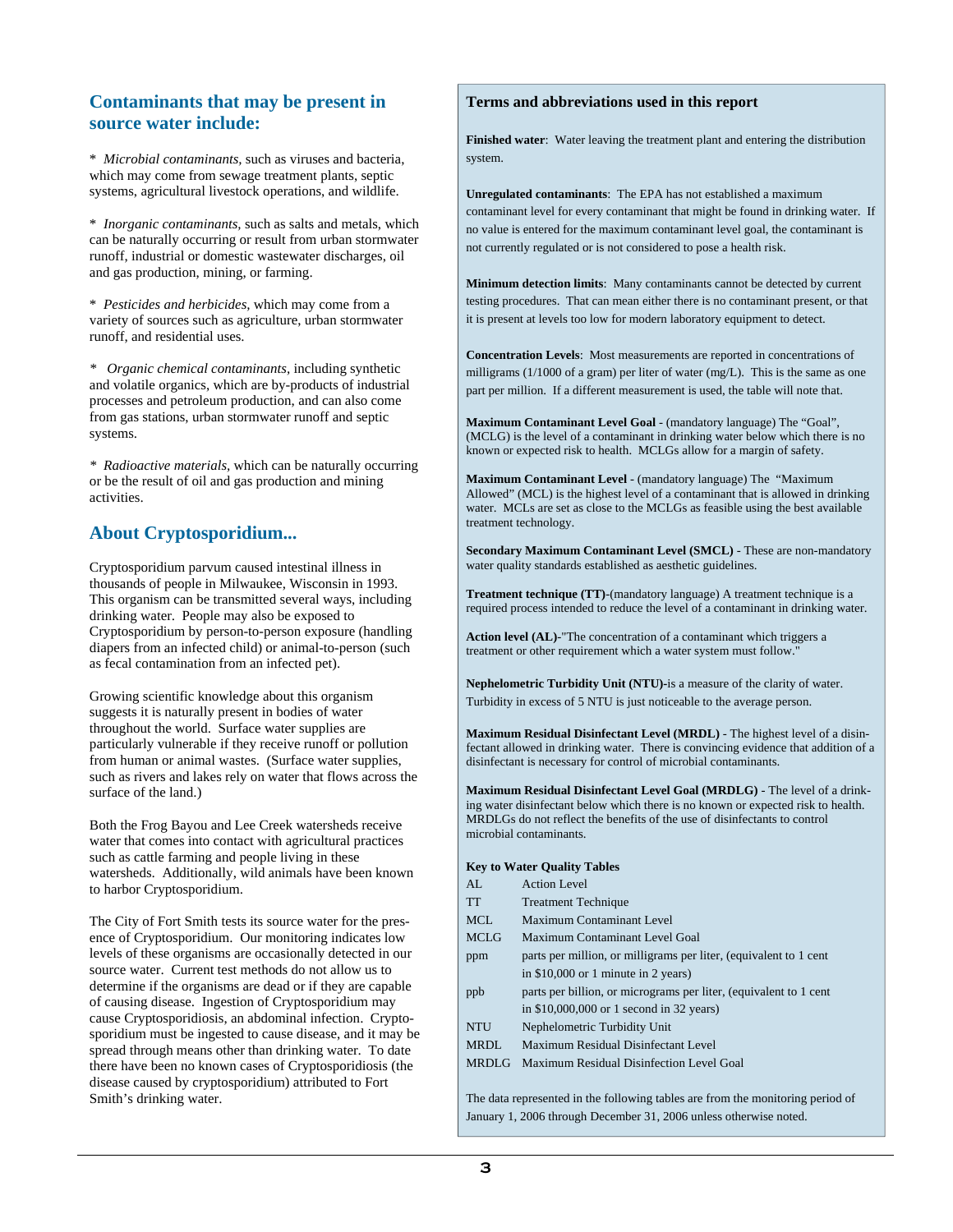#### **Contaminants that may be present in source water include:**

\* *Microbial contaminants,* such as viruses and bacteria, which may come from sewage treatment plants, septic systems, agricultural livestock operations, and wildlife.

\* *Inorganic contaminants,* such as salts and metals, which can be naturally occurring or result from urban stormwater runoff, industrial or domestic wastewater discharges, oil and gas production, mining, or farming.

\* *Pesticides and herbicides,* which may come from a variety of sources such as agriculture, urban stormwater runoff, and residential uses.

*\* Organic chemical contaminants,* including synthetic and volatile organics, which are by-products of industrial processes and petroleum production, and can also come from gas stations, urban stormwater runoff and septic systems.

*\* Radioactive materials,* which can be naturally occurring or be the result of oil and gas production and mining activities.

#### **About Cryptosporidium...**

Cryptosporidium parvum caused intestinal illness in thousands of people in Milwaukee, Wisconsin in 1993. This organism can be transmitted several ways, including drinking water. People may also be exposed to Cryptosporidium by person-to-person exposure (handling diapers from an infected child) or animal-to-person (such as fecal contamination from an infected pet).

Growing scientific knowledge about this organism suggests it is naturally present in bodies of water throughout the world. Surface water supplies are particularly vulnerable if they receive runoff or pollution from human or animal wastes. (Surface water supplies, such as rivers and lakes rely on water that flows across the surface of the land.)

Both the Frog Bayou and Lee Creek watersheds receive water that comes into contact with agricultural practices such as cattle farming and people living in these watersheds. Additionally, wild animals have been known to harbor Cryptosporidium.

The City of Fort Smith tests its source water for the presence of Cryptosporidium. Our monitoring indicates low levels of these organisms are occasionally detected in our source water. Current test methods do not allow us to determine if the organisms are dead or if they are capable of causing disease. Ingestion of Cryptosporidium may cause Cryptosporidiosis, an abdominal infection. Cryptosporidium must be ingested to cause disease, and it may be spread through means other than drinking water. To date there have been no known cases of Cryptosporidiosis (the disease caused by cryptosporidium) attributed to Fort Smith's drinking water.

#### **Terms and abbreviations used in this report**

**Finished water**: Water leaving the treatment plant and entering the distribution system.

**Unregulated contaminants**: The EPA has not established a maximum contaminant level for every contaminant that might be found in drinking water. If no value is entered for the maximum contaminant level goal, the contaminant is not currently regulated or is not considered to pose a health risk.

**Minimum detection limits**: Many contaminants cannot be detected by current testing procedures. That can mean either there is no contaminant present, or that it is present at levels too low for modern laboratory equipment to detect.

**Concentration Levels**: Most measurements are reported in concentrations of milligrams (1/1000 of a gram) per liter of water (mg/L). This is the same as one part per million. If a different measurement is used, the table will note that.

**Maximum Contaminant Level Goal** - (mandatory language) The "Goal", (MCLG) is the level of a contaminant in drinking water below which there is no known or expected risk to health. MCLGs allow for a margin of safety.

**Maximum Contaminant Level** - (mandatory language) The "Maximum Allowed" (MCL) is the highest level of a contaminant that is allowed in drinking water. MCLs are set as close to the MCLGs as feasible using the best available treatment technology.

**Secondary Maximum Contaminant Level (SMCL)** - These are non-mandatory water quality standards established as aesthetic guidelines.

**Treatment technique (TT)**-(mandatory language) A treatment technique is a required process intended to reduce the level of a contaminant in drinking water.

**Action level (AL)***-*"The concentration of a contaminant which triggers a treatment or other requirement which a water system must follow."

**Nephelometric Turbidity Unit (NTU)-**is a measure of the clarity of water. Turbidity in excess of 5 NTU is just noticeable to the average person.

**Maximum Residual Disinfectant Level (MRDL)** - The highest level of a disinfectant allowed in drinking water. There is convincing evidence that addition of a disinfectant is necessary for control of microbial contaminants.

**Maximum Residual Disinfectant Level Goal (MRDLG)** - The level of a drinking water disinfectant below which there is no known or expected risk to health. MRDLGs do not reflect the benefits of the use of disinfectants to control microbial contaminants.

**Key to Water Quality Tables** 

| AI.          | <b>Action Level</b>                                                            |
|--------------|--------------------------------------------------------------------------------|
| TT.          | <b>Treatment Technique</b>                                                     |
| <b>MCL</b>   | <b>Maximum Contaminant Level</b>                                               |
| <b>MCLG</b>  | Maximum Contaminant Level Goal                                                 |
| ppm          | parts per million, or milligrams per liter, (equivalent to 1 cent              |
|              | in $$10,000$ or 1 minute in 2 years)                                           |
| ppb          | parts per billion, or micrograms per liter, (equivalent to 1 cent              |
|              | in $$10,000,000$ or 1 second in 32 years)                                      |
| <b>NTU</b>   | Nephelometric Turbidity Unit                                                   |
| MRDL         | Maximum Residual Disinfectant Level                                            |
| <b>MRDLG</b> | Maximum Residual Disinfection Level Goal                                       |
|              |                                                                                |
|              | The data represented in the following tables are from the monitoring period of |

January 1, 2006 through December 31, 2006 unless otherwise noted.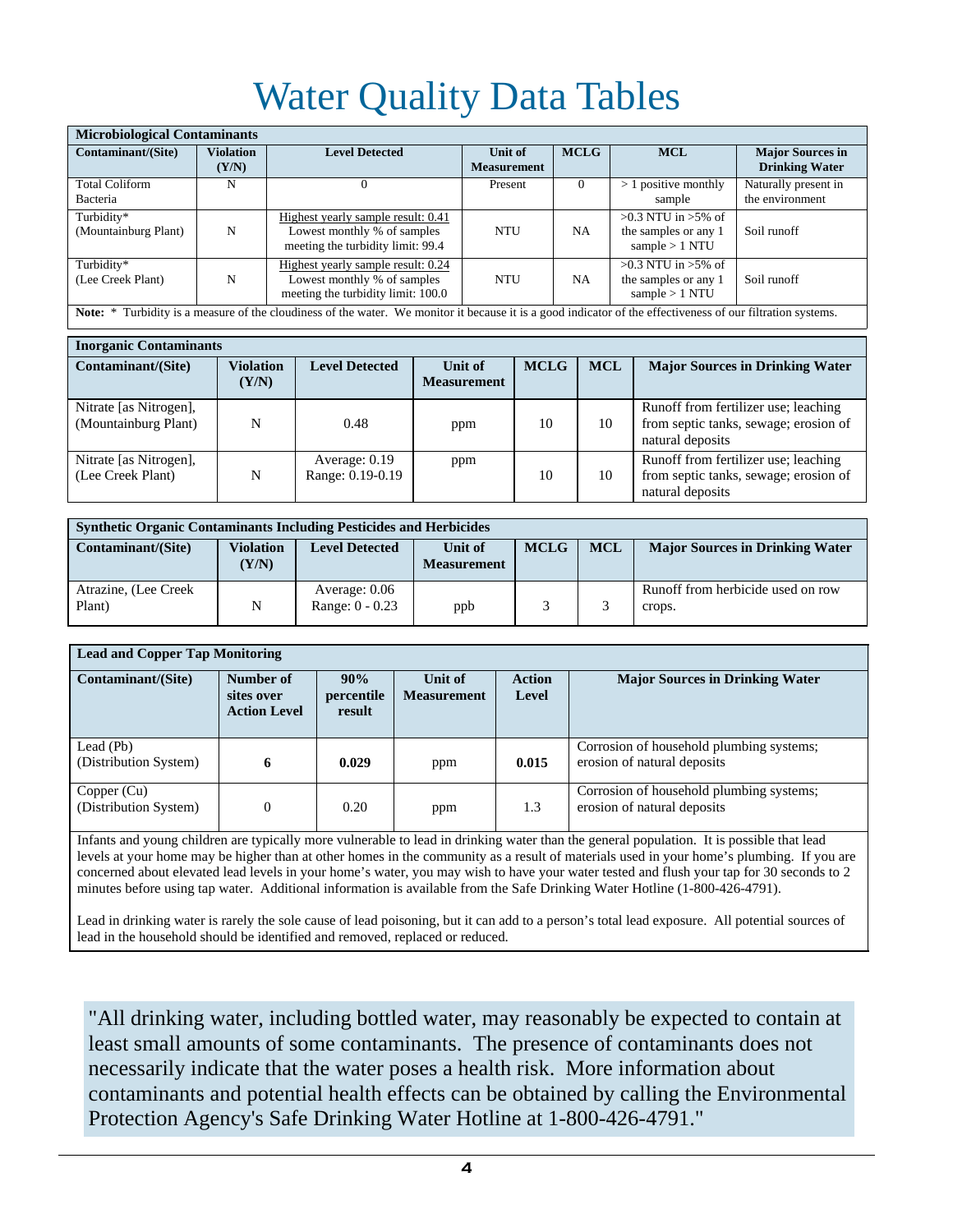## Water Quality Data Tables

| <b>Microbiological Contaminants</b>                                                                                                                         |                           |                                                                                                         |                               |             |                                                                     |                                                  |
|-------------------------------------------------------------------------------------------------------------------------------------------------------------|---------------------------|---------------------------------------------------------------------------------------------------------|-------------------------------|-------------|---------------------------------------------------------------------|--------------------------------------------------|
| Contaminant/(Site)                                                                                                                                          | <b>Violation</b><br>(Y/N) | <b>Level Detected</b>                                                                                   | Unit of<br><b>Measurement</b> | <b>MCLG</b> | <b>MCL</b>                                                          | <b>Major Sources in</b><br><b>Drinking Water</b> |
| <b>Total Coliform</b><br>Bacteria                                                                                                                           | N                         | $\Omega$                                                                                                | Present                       | $\Omega$    | $> 1$ positive monthly<br>sample                                    | Naturally present in<br>the environment          |
| Turbidity*<br>(Mountainburg Plant)                                                                                                                          | N                         | Highest yearly sample result: 0.41<br>Lowest monthly % of samples<br>meeting the turbidity limit: 99.4  | <b>NTU</b>                    | <b>NA</b>   | $>0.3$ NTU in $>5\%$ of<br>the samples or any 1<br>sample $> 1$ NTU | Soil runoff                                      |
| Turbidity*<br>(Lee Creek Plant)                                                                                                                             | N                         | Highest yearly sample result: 0.24<br>Lowest monthly % of samples<br>meeting the turbidity limit: 100.0 | <b>NTU</b>                    | <b>NA</b>   | $>0.3$ NTU in $>5\%$ of<br>the samples or any 1<br>sample $> 1$ NTU | Soil runoff                                      |
| Note: * Turbidity is a measure of the cloudiness of the water. We monitor it because it is a good indicator of the effectiveness of our filtration systems. |                           |                                                                                                         |                               |             |                                                                     |                                                  |

| <b>Inorganic Contaminants</b>                  |                           |                                   |                               |             |            |                                                                                                   |  |
|------------------------------------------------|---------------------------|-----------------------------------|-------------------------------|-------------|------------|---------------------------------------------------------------------------------------------------|--|
| Contaminant/(Site)                             | <b>Violation</b><br>(Y/N) | <b>Level Detected</b>             | Unit of<br><b>Measurement</b> | <b>MCLG</b> | <b>MCL</b> | <b>Major Sources in Drinking Water</b>                                                            |  |
| Nitrate [as Nitrogen],<br>(Mountainburg Plant) | N                         | 0.48                              | ppm                           | 10          | 10         | Runoff from fertilizer use; leaching<br>from septic tanks, sewage; erosion of<br>natural deposits |  |
| Nitrate [as Nitrogen],<br>(Lee Creek Plant)    | N                         | Average: 0.19<br>Range: 0.19-0.19 | ppm                           | 10          | 10         | Runoff from fertilizer use; leaching<br>from septic tanks, sewage; erosion of<br>natural deposits |  |

| <b>Synthetic Organic Contaminants Including Pesticides and Herbicides</b> |                           |                                    |                               |             |            |                                             |
|---------------------------------------------------------------------------|---------------------------|------------------------------------|-------------------------------|-------------|------------|---------------------------------------------|
| <b>Contaminant/(Site)</b>                                                 | <b>Violation</b><br>(Y/N) | <b>Level Detected</b>              | Unit of<br><b>Measurement</b> | <b>MCLG</b> | <b>MCL</b> | <b>Major Sources in Drinking Water</b>      |
| Atrazine, (Lee Creek<br>Plant)                                            | N                         | Average: 0.06<br>Range: $0 - 0.23$ | ppb                           |             |            | Runoff from herbicide used on row<br>crops. |

| <b>Lead and Copper Tap Monitoring</b> |                                                |                             |                               |                        |                                                                         |  |
|---------------------------------------|------------------------------------------------|-----------------------------|-------------------------------|------------------------|-------------------------------------------------------------------------|--|
| Contaminant/(Site)                    | Number of<br>sites over<br><b>Action Level</b> | 90%<br>percentile<br>result | Unit of<br><b>Measurement</b> | <b>Action</b><br>Level | <b>Major Sources in Drinking Water</b>                                  |  |
| Lead (Pb)<br>(Distribution System)    | 6                                              | 0.029                       | ppm                           | 0.015                  | Corrosion of household plumbing systems;<br>erosion of natural deposits |  |
| Copper (Cu)<br>(Distribution System)  | $\theta$                                       | 0.20                        | ppm                           | 1.3                    | Corrosion of household plumbing systems;<br>erosion of natural deposits |  |

Infants and young children are typically more vulnerable to lead in drinking water than the general population. It is possible that lead levels at your home may be higher than at other homes in the community as a result of materials used in your home's plumbing. If you are concerned about elevated lead levels in your home's water, you may wish to have your water tested and flush your tap for 30 seconds to 2 minutes before using tap water. Additional information is available from the Safe Drinking Water Hotline (1-800-426-4791).

Lead in drinking water is rarely the sole cause of lead poisoning, but it can add to a person's total lead exposure. All potential sources of lead in the household should be identified and removed, replaced or reduced.

"All drinking water, including bottled water, may reasonably be expected to contain at least small amounts of some contaminants. The presence of contaminants does not necessarily indicate that the water poses a health risk. More information about contaminants and potential health effects can be obtained by calling the Environmental Protection Agency's Safe Drinking Water Hotline at 1-800-426-4791."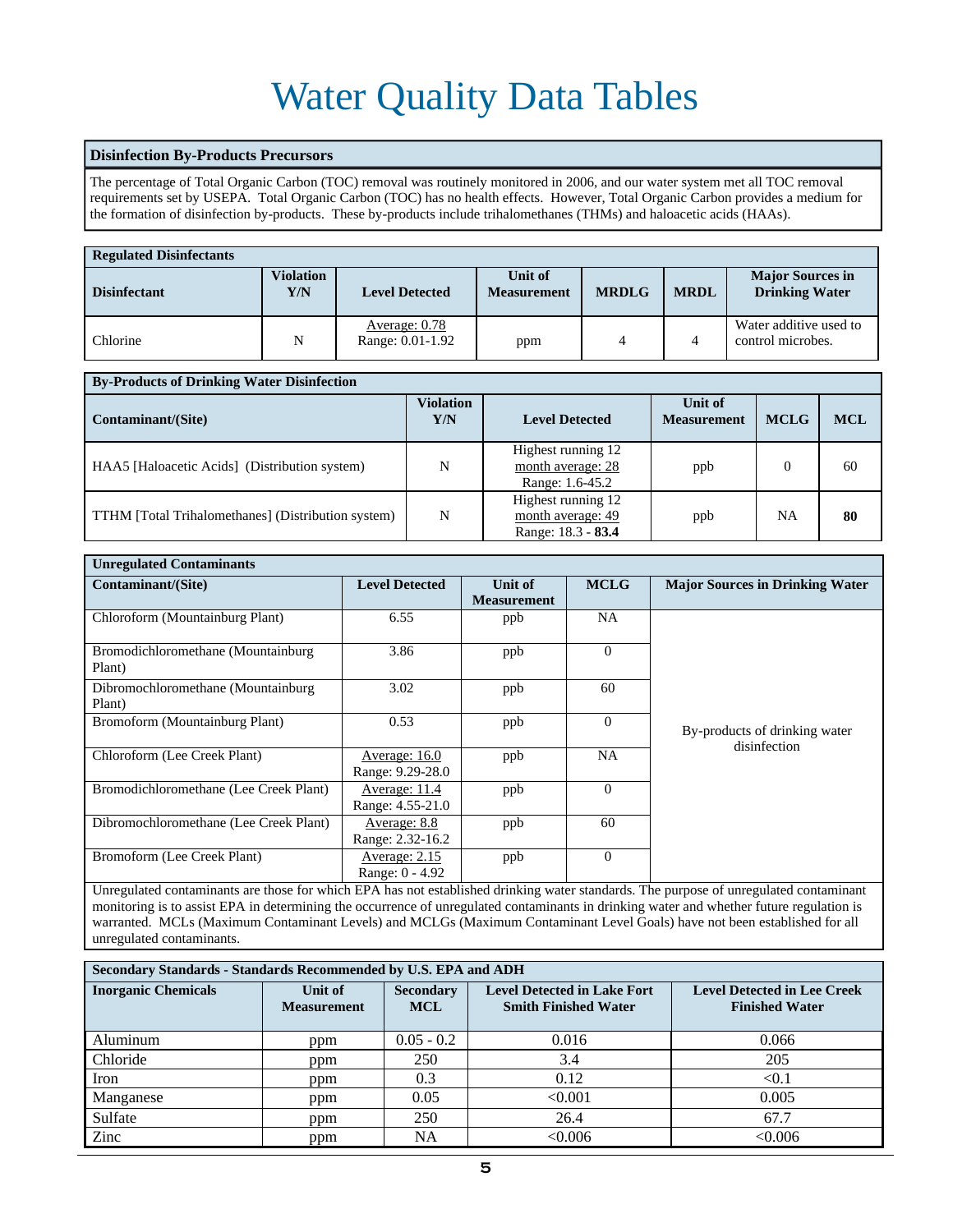## Water Quality Data Tables

#### **Disinfection By-Products Precursors**

The percentage of Total Organic Carbon (TOC) removal was routinely monitored in 2006, and our water system met all TOC removal requirements set by USEPA. Total Organic Carbon (TOC) has no health effects. However, Total Organic Carbon provides a medium for the formation of disinfection by-products. These by-products include trihalomethanes (THMs) and haloacetic acids (HAAs).

| <b>Regulated Disinfectants</b> |                         |                                   |                               |              |             |                                                  |  |
|--------------------------------|-------------------------|-----------------------------------|-------------------------------|--------------|-------------|--------------------------------------------------|--|
| <b>Disinfectant</b>            | <b>Violation</b><br>Y/N | <b>Level Detected</b>             | Unit of<br><b>Measurement</b> | <b>MRDLG</b> | <b>MRDL</b> | <b>Major Sources in</b><br><b>Drinking Water</b> |  |
| Chlorine                       | N                       | Average: 0.78<br>Range: 0.01-1.92 | ppm                           |              |             | Water additive used to<br>control microbes.      |  |

| <b>By-Products of Drinking Water Disinfection</b>         |                         |                                                               |                               |             |            |  |  |
|-----------------------------------------------------------|-------------------------|---------------------------------------------------------------|-------------------------------|-------------|------------|--|--|
| Contaminant/(Site)                                        | <b>Violation</b><br>Y/N | <b>Level Detected</b>                                         | Unit of<br><b>Measurement</b> | <b>MCLG</b> | <b>MCL</b> |  |  |
| HAA5 [Haloacetic Acids] (Distribution system)             | N                       | Highest running 12<br>month average: 28<br>Range: 1.6-45.2    | ppb                           |             | 60         |  |  |
| <b>TTHM</b> [Total Trihalomethanes] (Distribution system) | N                       | Highest running 12<br>month average: 49<br>Range: 18.3 - 83.4 | ppb                           | NA          | 80         |  |  |

| <b>Unregulated Contaminants</b>               |                                   |                                      |             |                                               |
|-----------------------------------------------|-----------------------------------|--------------------------------------|-------------|-----------------------------------------------|
| Contaminant/(Site)                            | <b>Level Detected</b>             | <b>Unit of</b><br><b>Measurement</b> | <b>MCLG</b> | <b>Major Sources in Drinking Water</b>        |
| Chloroform (Mountainburg Plant)               | 6.55                              | ppb                                  | <b>NA</b>   |                                               |
| Bromodichloromethane (Mountainburg)<br>Plant) | 3.86                              | ppb                                  | $\Omega$    |                                               |
| Dibromochloromethane (Mountainburg)<br>Plant) | 3.02                              | ppb                                  | 60          |                                               |
| Bromoform (Mountainburg Plant)                | 0.53                              | ppb                                  | $\Omega$    | By-products of drinking water<br>disinfection |
| Chloroform (Lee Creek Plant)                  | Average: 16.0<br>Range: 9.29-28.0 | ppb                                  | <b>NA</b>   |                                               |
| Bromodichloromethane (Lee Creek Plant)        | Average: 11.4<br>Range: 4.55-21.0 | ppb                                  | $\Omega$    |                                               |
| Dibromochloromethane (Lee Creek Plant)        | Average: 8.8<br>Range: 2.32-16.2  | ppb                                  | 60          |                                               |
| Bromoform (Lee Creek Plant)                   | Average: 2.15<br>Range: 0 - 4.92  | ppb                                  | $\Omega$    |                                               |

Unregulated contaminants are those for which EPA has not established drinking water standards. The purpose of unregulated contaminant monitoring is to assist EPA in determining the occurrence of unregulated contaminants in drinking water and whether future regulation is warranted. MCLs (Maximum Contaminant Levels) and MCLGs (Maximum Contaminant Level Goals) have not been established for all unregulated contaminants.

| Secondary Standards - Standards Recommended by U.S. EPA and ADH |                               |                                |                                                                   |                                                             |  |  |  |
|-----------------------------------------------------------------|-------------------------------|--------------------------------|-------------------------------------------------------------------|-------------------------------------------------------------|--|--|--|
| <b>Inorganic Chemicals</b>                                      | Unit of<br><b>Measurement</b> | <b>Secondary</b><br><b>MCL</b> | <b>Level Detected in Lake Fort</b><br><b>Smith Finished Water</b> | <b>Level Detected in Lee Creek</b><br><b>Finished Water</b> |  |  |  |
| Aluminum                                                        | ppm                           | $0.05 - 0.2$                   | 0.016                                                             | 0.066                                                       |  |  |  |
| Chloride                                                        | ppm                           | 250                            | 3.4                                                               | 205                                                         |  |  |  |
| Iron                                                            | ppm                           | 0.3                            | 0.12                                                              | < 0.1                                                       |  |  |  |
| Manganese                                                       | ppm                           | 0.05                           | < 0.001                                                           | 0.005                                                       |  |  |  |
| Sulfate                                                         | ppm                           | 250                            | 26.4                                                              | 67.7                                                        |  |  |  |
| Zinc                                                            | ppm                           | NA                             | < 0.006                                                           | < 0.006                                                     |  |  |  |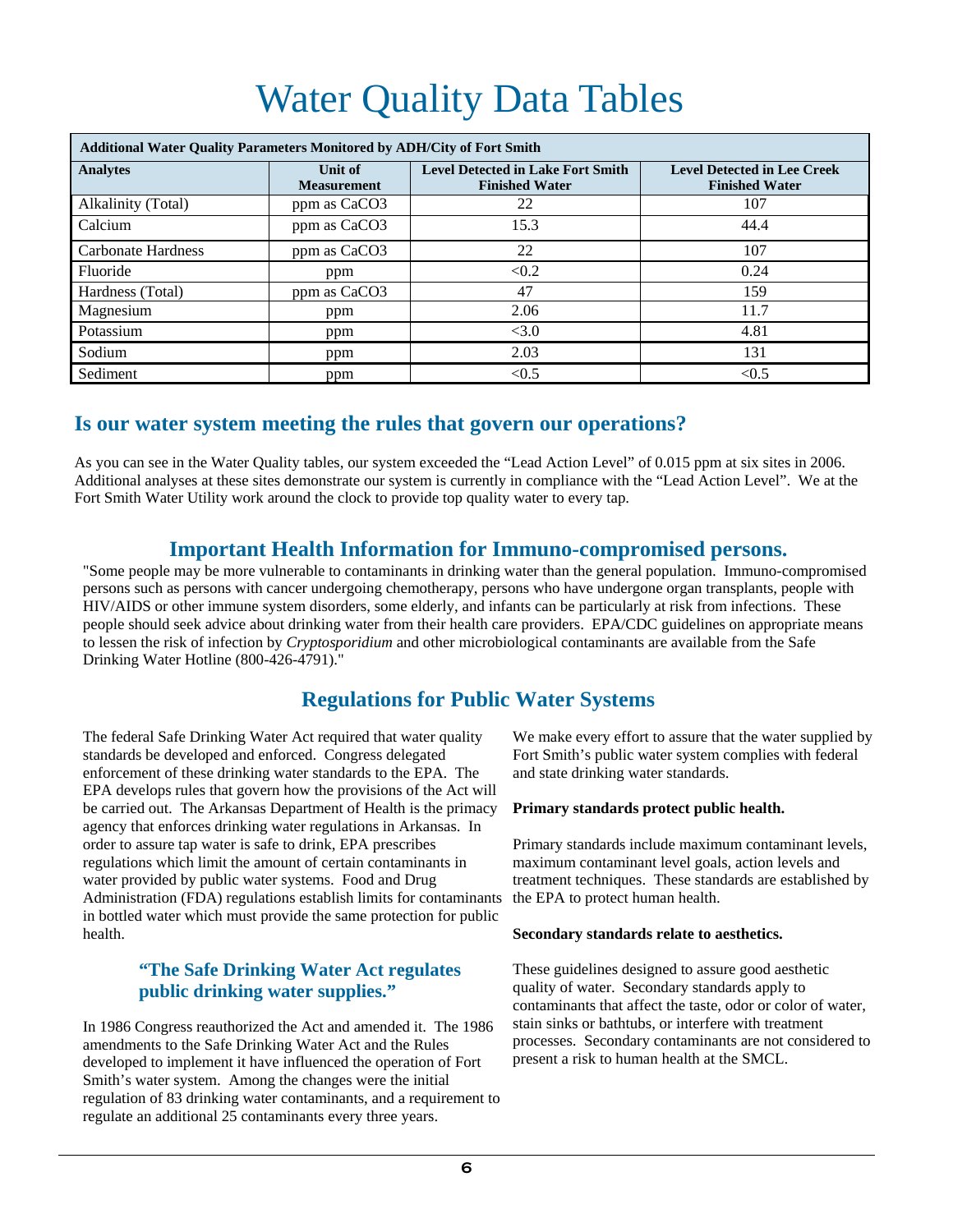## Water Quality Data Tables

| <b>Additional Water Quality Parameters Monitored by ADH/City of Fort Smith</b> |                               |                                                                   |                                                             |  |  |  |  |
|--------------------------------------------------------------------------------|-------------------------------|-------------------------------------------------------------------|-------------------------------------------------------------|--|--|--|--|
| <b>Analytes</b>                                                                | Unit of<br><b>Measurement</b> | <b>Level Detected in Lake Fort Smith</b><br><b>Finished Water</b> | <b>Level Detected in Lee Creek</b><br><b>Finished Water</b> |  |  |  |  |
| Alkalinity (Total)                                                             | ppm as CaCO3                  | 22                                                                | 107                                                         |  |  |  |  |
| Calcium                                                                        | ppm as CaCO3                  | 15.3                                                              | 44.4                                                        |  |  |  |  |
| <b>Carbonate Hardness</b>                                                      | ppm as CaCO3                  | 22                                                                | 107                                                         |  |  |  |  |
| Fluoride                                                                       | ppm                           | < 0.2                                                             | 0.24                                                        |  |  |  |  |
| Hardness (Total)                                                               | ppm as CaCO3                  | 47                                                                | 159                                                         |  |  |  |  |
| Magnesium                                                                      | ppm                           | 2.06                                                              | 11.7                                                        |  |  |  |  |
| Potassium                                                                      | ppm                           | <3.0                                                              | 4.81                                                        |  |  |  |  |
| Sodium                                                                         | ppm                           | 2.03                                                              | 131                                                         |  |  |  |  |
| Sediment                                                                       | ppm                           | < 0.5                                                             | < 0.5                                                       |  |  |  |  |

### **Is our water system meeting the rules that govern our operations?**

As you can see in the Water Quality tables, our system exceeded the "Lead Action Level" of 0.015 ppm at six sites in 2006. Additional analyses at these sites demonstrate our system is currently in compliance with the "Lead Action Level". We at the Fort Smith Water Utility work around the clock to provide top quality water to every tap.

### **Important Health Information for Immuno-compromised persons.**

"Some people may be more vulnerable to contaminants in drinking water than the general population. Immuno-compromised persons such as persons with cancer undergoing chemotherapy, persons who have undergone organ transplants, people with HIV/AIDS or other immune system disorders, some elderly, and infants can be particularly at risk from infections. These people should seek advice about drinking water from their health care providers. EPA/CDC guidelines on appropriate means to lessen the risk of infection by *Cryptosporidium* and other microbiological contaminants are available from the Safe Drinking Water Hotline (800-426-4791)."

### **Regulations for Public Water Systems**

The federal Safe Drinking Water Act required that water quality standards be developed and enforced. Congress delegated enforcement of these drinking water standards to the EPA. The EPA develops rules that govern how the provisions of the Act will be carried out. The Arkansas Department of Health is the primacy agency that enforces drinking water regulations in Arkansas. In order to assure tap water is safe to drink, EPA prescribes regulations which limit the amount of certain contaminants in water provided by public water systems. Food and Drug Administration (FDA) regulations establish limits for contaminants in bottled water which must provide the same protection for public health.

#### **"The Safe Drinking Water Act regulates public drinking water supplies."**

In 1986 Congress reauthorized the Act and amended it. The 1986 amendments to the Safe Drinking Water Act and the Rules developed to implement it have influenced the operation of Fort Smith's water system. Among the changes were the initial regulation of 83 drinking water contaminants, and a requirement to regulate an additional 25 contaminants every three years.

We make every effort to assure that the water supplied by Fort Smith's public water system complies with federal and state drinking water standards.

#### **Primary standards protect public health.**

Primary standards include maximum contaminant levels, maximum contaminant level goals, action levels and treatment techniques. These standards are established by the EPA to protect human health.

#### **Secondary standards relate to aesthetics.**

These guidelines designed to assure good aesthetic quality of water. Secondary standards apply to contaminants that affect the taste, odor or color of water, stain sinks or bathtubs, or interfere with treatment processes. Secondary contaminants are not considered to present a risk to human health at the SMCL.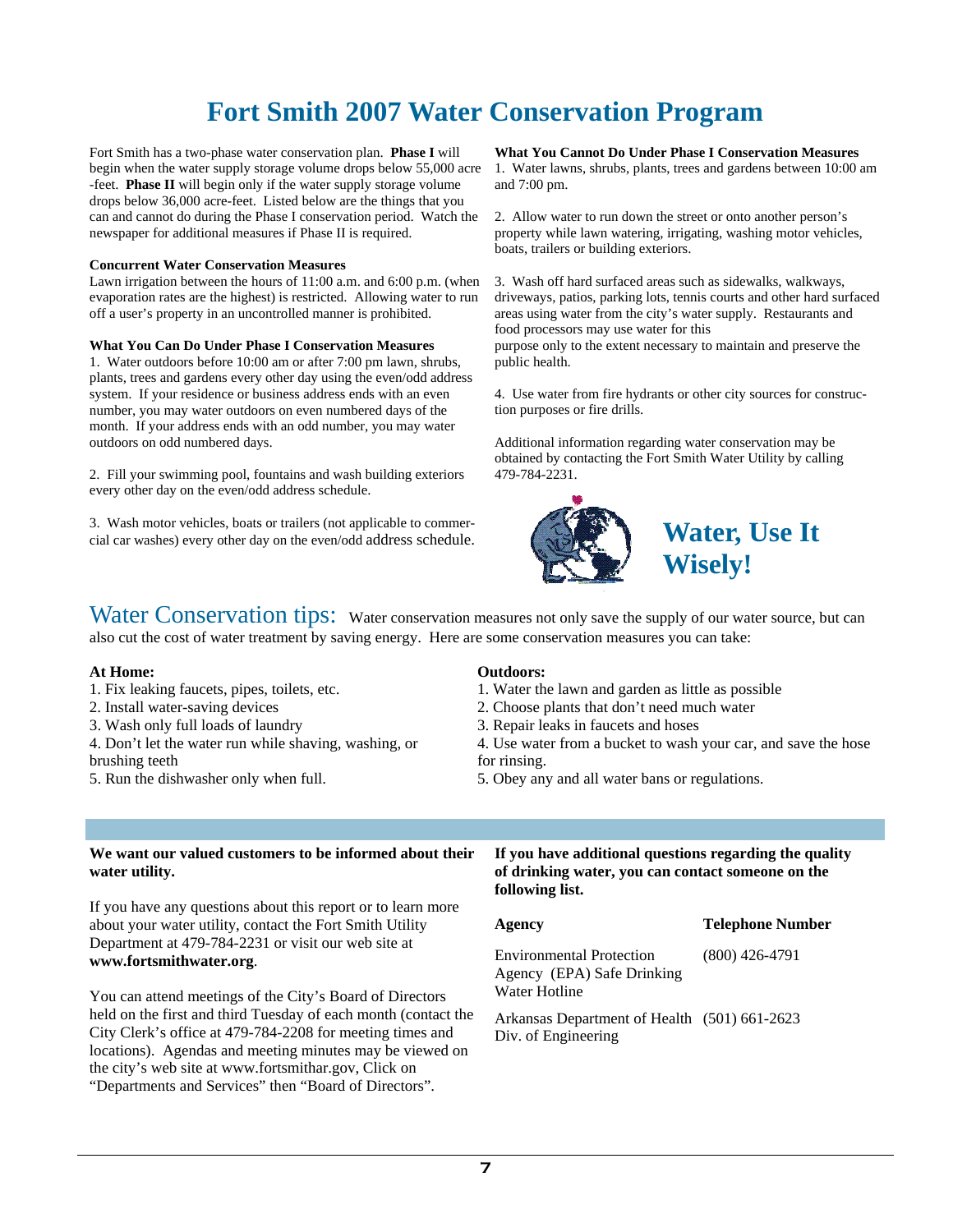## **Fort Smith 2007 Water Conservation Program**

Fort Smith has a two-phase water conservation plan. **Phase I** will begin when the water supply storage volume drops below 55,000 acre -feet. **Phase II** will begin only if the water supply storage volume drops below 36,000 acre-feet. Listed below are the things that you can and cannot do during the Phase I conservation period. Watch the newspaper for additional measures if Phase II is required.

#### **Concurrent Water Conservation Measures**

Lawn irrigation between the hours of 11:00 a.m. and 6:00 p.m. (when evaporation rates are the highest) is restricted. Allowing water to run off a user's property in an uncontrolled manner is prohibited.

#### **What You Can Do Under Phase I Conservation Measures**

1. Water outdoors before 10:00 am or after 7:00 pm lawn, shrubs, plants, trees and gardens every other day using the even/odd address system. If your residence or business address ends with an even number, you may water outdoors on even numbered days of the month. If your address ends with an odd number, you may water outdoors on odd numbered days.

2. Fill your swimming pool, fountains and wash building exteriors every other day on the even/odd address schedule.

3. Wash motor vehicles, boats or trailers (not applicable to commercial car washes) every other day on the even/odd address schedule.

**What You Cannot Do Under Phase I Conservation Measures**  1. Water lawns, shrubs, plants, trees and gardens between 10:00 am and 7:00 pm.

2. Allow water to run down the street or onto another person's property while lawn watering, irrigating, washing motor vehicles, boats, trailers or building exteriors.

3. Wash off hard surfaced areas such as sidewalks, walkways, driveways, patios, parking lots, tennis courts and other hard surfaced areas using water from the city's water supply. Restaurants and food processors may use water for this

purpose only to the extent necessary to maintain and preserve the public health.

4. Use water from fire hydrants or other city sources for construction purposes or fire drills.

Additional information regarding water conservation may be obtained by contacting the Fort Smith Water Utility by calling 479-784-2231.



**Water, Use It Wisely!** 

Water Conservation tips: Water conservation measures not only save the supply of our water source, but can also cut the cost of water treatment by saving energy. Here are some conservation measures you can take:

#### **At Home:**

- 1. Fix leaking faucets, pipes, toilets, etc.
- 2. Install water-saving devices
- 3. Wash only full loads of laundry
- 4. Don't let the water run while shaving, washing, or brushing teeth
- 5. Run the dishwasher only when full.

#### **Outdoors:**

- 1. Water the lawn and garden as little as possible
- 2. Choose plants that don't need much water
- 3. Repair leaks in faucets and hoses

4. Use water from a bucket to wash your car, and save the hose for rinsing.

5. Obey any and all water bans or regulations.

#### **We want our valued customers to be informed about their water utility.**

If you have any questions about this report or to learn more about your water utility, contact the Fort Smith Utility Department at 479-784-2231 or visit our web site at **www.fortsmithwater.org**.

You can attend meetings of the City's Board of Directors held on the first and third Tuesday of each month (contact the City Clerk's office at 479-784-2208 for meeting times and locations). Agendas and meeting minutes may be viewed on the city's web site at www.fortsmithar.gov, Click on "Departments and Services" then "Board of Directors".

#### **If you have additional questions regarding the quality of drinking water, you can contact someone on the following list.**

**Agency Telephone Number** 

Environmental Protection Agency (EPA) Safe Drinking Water Hotline (800) 426-4791

Arkansas Department of Health (501) 661-2623 Div. of Engineering